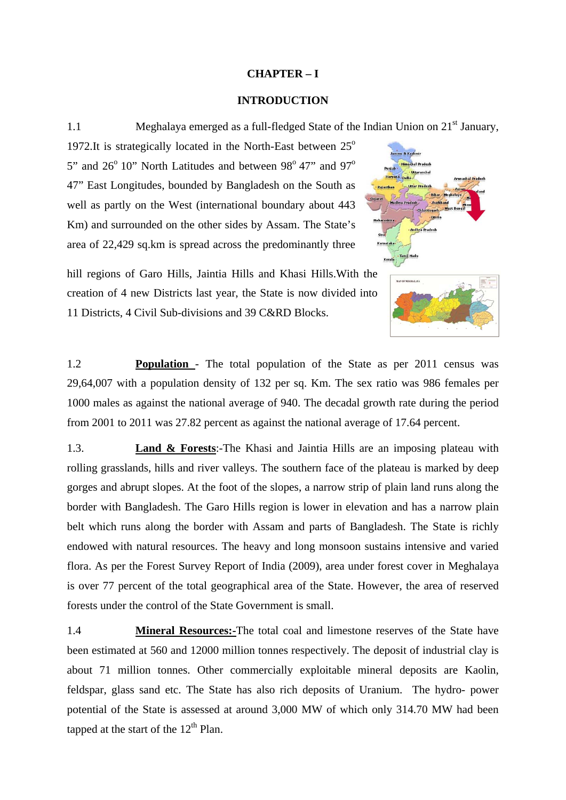## **CHAPTER – I**

## **INTRODUCTION**

1.1 Meghalaya emerged as a full-fledged State of the Indian Union on 21<sup>st</sup> January,

1972.It is strategically located in the North-East between  $25^{\circ}$ 5" and  $26^{\circ}$  10" North Latitudes and between  $98^{\circ}$  47" and  $97^{\circ}$ 47" East Longitudes, bounded by Bangladesh on the South as well as partly on the West (international boundary about 443 Km) and surrounded on the other sides by Assam. The State's area of 22,429 sq.km is spread across the predominantly three



hill regions of Garo Hills, Jaintia Hills and Khasi Hills.With the creation of 4 new Districts last year, the State is now divided into 11 Districts, 4 Civil Sub-divisions and 39 C&RD Blocks.

1.2 **Population** - The total population of the State as per 2011 census was 29,64,007 with a population density of 132 per sq. Km. The sex ratio was 986 females per 1000 males as against the national average of 940. The decadal growth rate during the period from 2001 to 2011 was 27.82 percent as against the national average of 17.64 percent.

1.3. **Land & Forests**:-The Khasi and Jaintia Hills are an imposing plateau with rolling grasslands, hills and river valleys. The southern face of the plateau is marked by deep gorges and abrupt slopes. At the foot of the slopes, a narrow strip of plain land runs along the border with Bangladesh. The Garo Hills region is lower in elevation and has a narrow plain belt which runs along the border with Assam and parts of Bangladesh. The State is richly endowed with natural resources. The heavy and long monsoon sustains intensive and varied flora. As per the Forest Survey Report of India (2009), area under forest cover in Meghalaya is over 77 percent of the total geographical area of the State. However, the area of reserved forests under the control of the State Government is small.

1.4 **Mineral Resources:-**The total coal and limestone reserves of the State have been estimated at 560 and 12000 million tonnes respectively. The deposit of industrial clay is about 71 million tonnes. Other commercially exploitable mineral deposits are Kaolin, feldspar, glass sand etc. The State has also rich deposits of Uranium. The hydro- power potential of the State is assessed at around 3,000 MW of which only 314.70 MW had been tapped at the start of the  $12<sup>th</sup>$  Plan.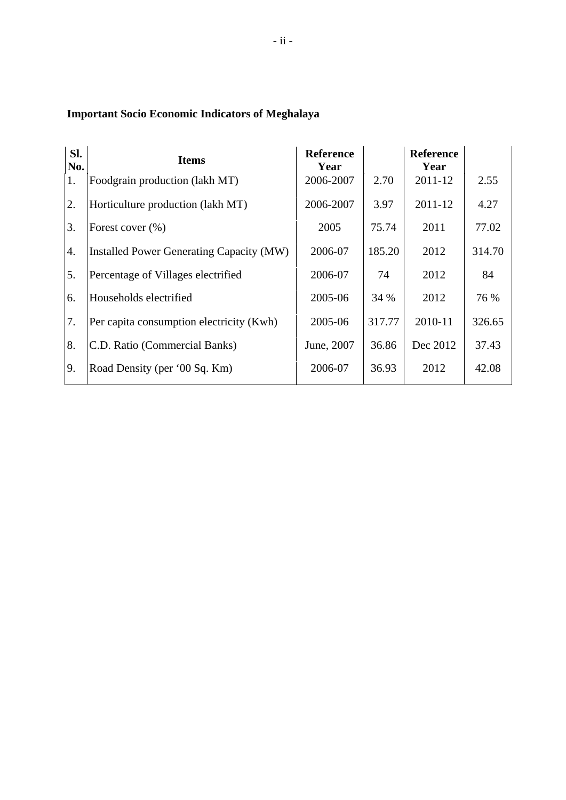## **Important Socio Economic Indicators of Meghalaya**

| Sl.<br>No. | <b>Items</b>                             | <b>Reference</b><br>Year |        | <b>Reference</b><br>Year |        |
|------------|------------------------------------------|--------------------------|--------|--------------------------|--------|
| 1.         | Foodgrain production (lakh MT)           | 2006-2007                | 2.70   | 2011-12                  | 2.55   |
| 2.         | Horticulture production (lakh MT)        | 2006-2007                | 3.97   | 2011-12                  | 4.27   |
| 3.         | Forest cover $(\% )$                     | 2005                     | 75.74  | 2011                     | 77.02  |
| 4.         | Installed Power Generating Capacity (MW) | 2006-07                  | 185.20 | 2012                     | 314.70 |
| 5.         | Percentage of Villages electrified       | 2006-07                  | 74     | 2012                     | 84     |
| 6.         | Households electrified                   | 2005-06                  | 34 %   | 2012                     | 76 %   |
| 7.         | Per capita consumption electricity (Kwh) | 2005-06                  | 317.77 | 2010-11                  | 326.65 |
| 8.         | C.D. Ratio (Commercial Banks)            | June, 2007               | 36.86  | Dec 2012                 | 37.43  |
| 9.         | Road Density (per '00 Sq. Km)            | 2006-07                  | 36.93  | 2012                     | 42.08  |